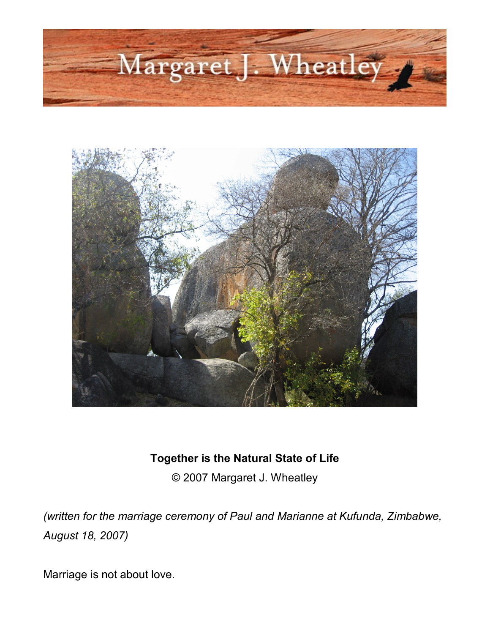



## **Together is the Natural State of Life**

© 2007 Margaret J. Wheatley

*(written for the marriage ceremony of Paul and Marianne at Kufunda, Zimbabwe, August 18, 2007)*

Marriage is not about love.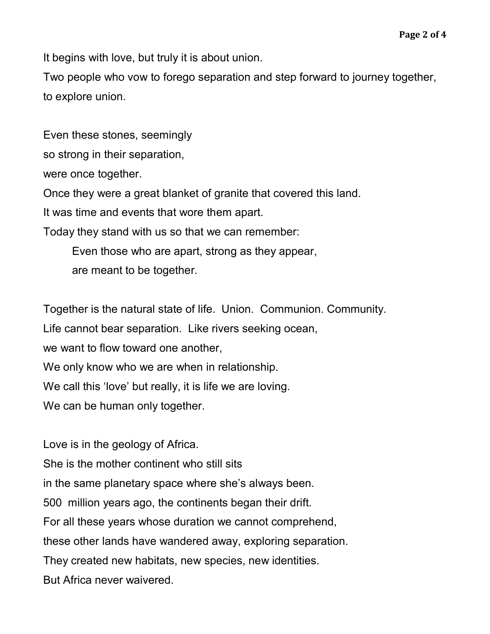It begins with love, but truly it is about union.

Two people who vow to forego separation and step forward to journey together, to explore union.

Even these stones, seemingly so strong in their separation, were once together. Once they were a great blanket of granite that covered this land. It was time and events that wore them apart. Today they stand with us so that we can remember: Even those who are apart, strong as they appear,

are meant to be together.

Together is the natural state of life. Union. Communion. Community.

Life cannot bear separation. Like rivers seeking ocean,

we want to flow toward one another,

We only know who we are when in relationship.

We call this 'love' but really, it is life we are loving.

We can be human only together.

Love is in the geology of Africa. She is the mother continent who still sits in the same planetary space where she's always been. 500 million years ago, the continents began their drift. For all these years whose duration we cannot comprehend, these other lands have wandered away, exploring separation. They created new habitats, new species, new identities. But Africa never waivered.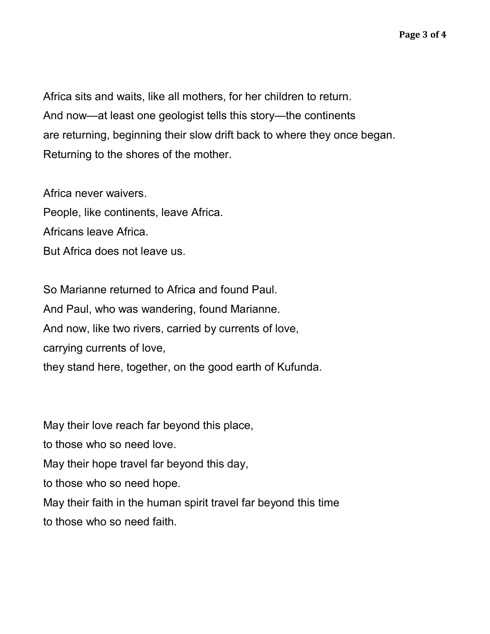Africa sits and waits, like all mothers, for her children to return. And now—at least one geologist tells this story—the continents are returning, beginning their slow drift back to where they once began. Returning to the shores of the mother.

Africa never waivers. People, like continents, leave Africa. Africans leave Africa. But Africa does not leave us.

So Marianne returned to Africa and found Paul. And Paul, who was wandering, found Marianne. And now, like two rivers, carried by currents of love, carrying currents of love, they stand here, together, on the good earth of Kufunda.

May their love reach far beyond this place,

to those who so need love.

May their hope travel far beyond this day,

to those who so need hope.

May their faith in the human spirit travel far beyond this time to those who so need faith.